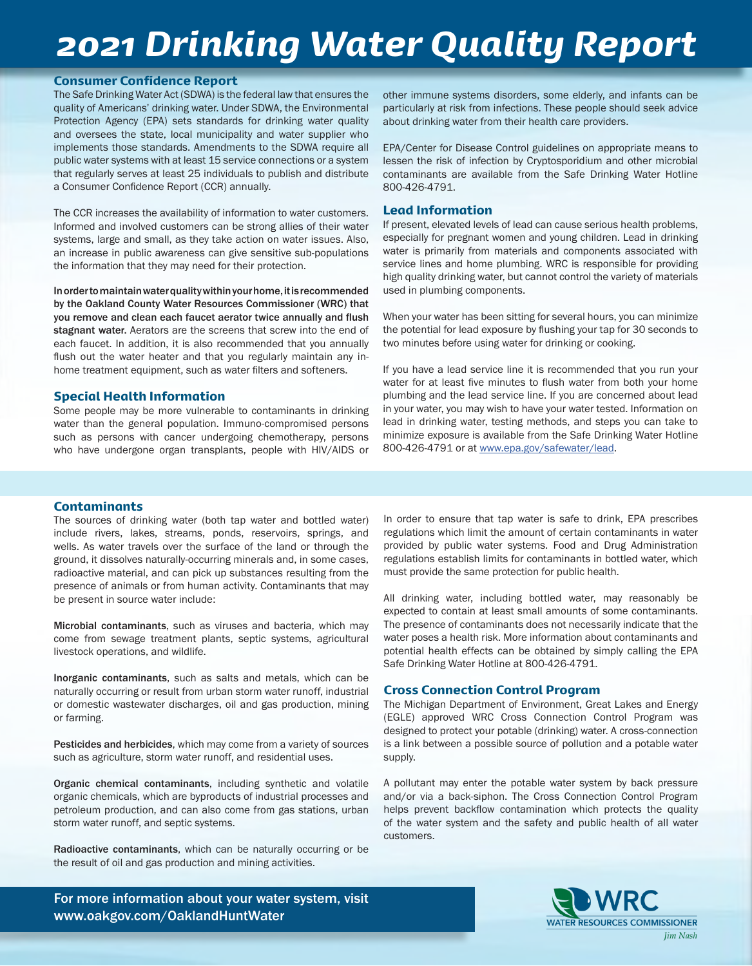## *2021 Drinking Water Quality Report*

#### Consumer Confidence Report

The Safe Drinking Water Act (SDWA) is the federal law that ensures the quality of Americans' drinking water. Under SDWA, the Environmental Protection Agency (EPA) sets standards for drinking water quality and oversees the state, local municipality and water supplier who implements those standards. Amendments to the SDWA require all public water systems with at least 15 service connections or a system that regularly serves at least 25 individuals to publish and distribute a Consumer Confidence Report (CCR) annually.

The CCR increases the availability of information to water customers. Informed and involved customers can be strong allies of their water systems, large and small, as they take action on water issues. Also, an increase in public awareness can give sensitive sub-populations the information that they may need for their protection.

In order to maintain water quality within your home, it is recommended by the Oakland County Water Resources Commissioner (WRC) that you remove and clean each faucet aerator twice annually and flush stagnant water. Aerators are the screens that screw into the end of each faucet. In addition, it is also recommended that you annually flush out the water heater and that you regularly maintain any inhome treatment equipment, such as water filters and softeners.

#### Special Health Information

Some people may be more vulnerable to contaminants in drinking water than the general population. Immuno-compromised persons such as persons with cancer undergoing chemotherapy, persons who have undergone organ transplants, people with HIV/AIDS or

other immune systems disorders, some elderly, and infants can be particularly at risk from infections. These people should seek advice about drinking water from their health care providers.

EPA/Center for Disease Control guidelines on appropriate means to lessen the risk of infection by Cryptosporidium and other microbial contaminants are available from the Safe Drinking Water Hotline 800-426-4791.

#### Lead Information

If present, elevated levels of lead can cause serious health problems, especially for pregnant women and young children. Lead in drinking water is primarily from materials and components associated with service lines and home plumbing. WRC is responsible for providing high quality drinking water, but cannot control the variety of materials used in plumbing components.

When your water has been sitting for several hours, you can minimize the potential for lead exposure by flushing your tap for 30 seconds to two minutes before using water for drinking or cooking.

If you have a lead service line it is recommended that you run your water for at least five minutes to flush water from both your home plumbing and the lead service line. If you are concerned about lead in your water, you may wish to have your water tested. Information on lead in drinking water, testing methods, and steps you can take to minimize exposure is available from the Safe Drinking Water Hotline 800-426-4791 or at www.epa.gov/safewater/lead.

#### Contaminants

The sources of drinking water (both tap water and bottled water) include rivers, lakes, streams, ponds, reservoirs, springs, and wells. As water travels over the surface of the land or through the ground, it dissolves naturally-occurring minerals and, in some cases, radioactive material, and can pick up substances resulting from the presence of animals or from human activity. Contaminants that may be present in source water include:

Microbial contaminants, such as viruses and bacteria, which may come from sewage treatment plants, septic systems, agricultural livestock operations, and wildlife.

Inorganic contaminants, such as salts and metals, which can be naturally occurring or result from urban storm water runoff, industrial or domestic wastewater discharges, oil and gas production, mining or farming.

Pesticides and herbicides, which may come from a variety of sources such as agriculture, storm water runoff, and residential uses.

Organic chemical contaminants, including synthetic and volatile organic chemicals, which are byproducts of industrial processes and petroleum production, and can also come from gas stations, urban storm water runoff, and septic systems.

Radioactive contaminants, which can be naturally occurring or be the result of oil and gas production and mining activities.

In order to ensure that tap water is safe to drink, EPA prescribes regulations which limit the amount of certain contaminants in water provided by public water systems. Food and Drug Administration regulations establish limits for contaminants in bottled water, which must provide the same protection for public health.

All drinking water, including bottled water, may reasonably be expected to contain at least small amounts of some contaminants. The presence of contaminants does not necessarily indicate that the water poses a health risk. More information about contaminants and potential health effects can be obtained by simply calling the EPA Safe Drinking Water Hotline at 800-426-4791.

#### Cross Connection Control Program

The Michigan Department of Environment, Great Lakes and Energy (EGLE) approved WRC Cross Connection Control Program was designed to protect your potable (drinking) water. A cross-connection is a link between a possible source of pollution and a potable water supply.

A pollutant may enter the potable water system by back pressure and/or via a back-siphon. The Cross Connection Control Program helps prevent backflow contamination which protects the quality of the water system and the safety and public health of all water customers.

For more information about your water system, visit www.oakgov.com/OaklandHuntWater

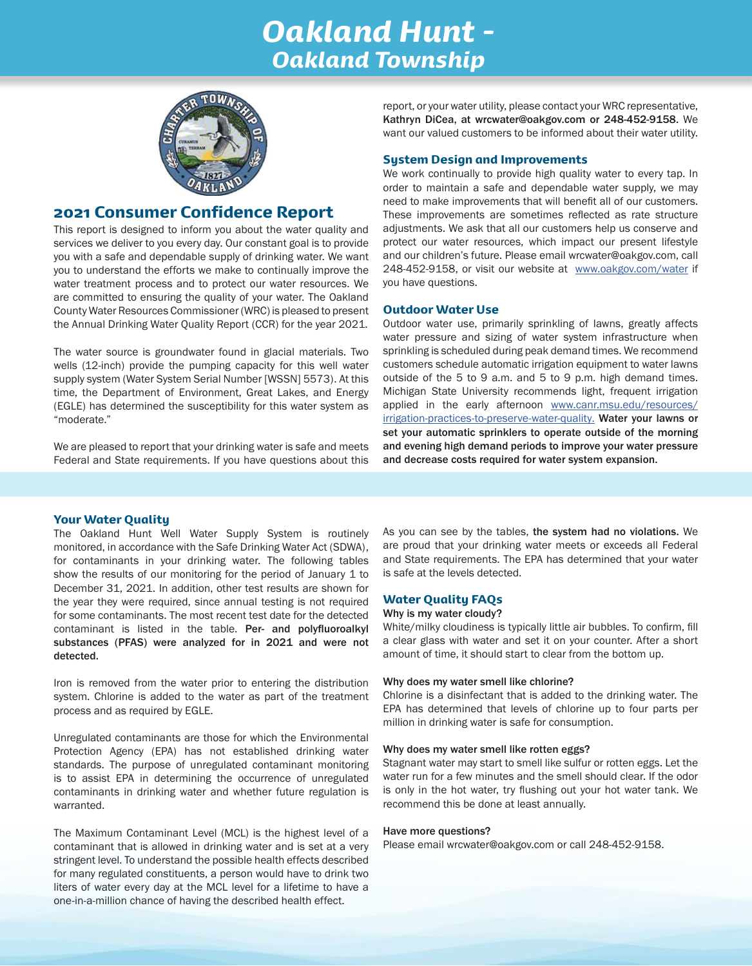## *Oakland Hunt - Oakland Township*



### 2021 Consumer Confidence Report

This report is designed to inform you about the water quality and services we deliver to you every day. Our constant goal is to provide you with a safe and dependable supply of drinking water. We want you to understand the efforts we make to continually improve the water treatment process and to protect our water resources. We are committed to ensuring the quality of your water. The Oakland County Water Resources Commissioner (WRC) is pleased to present the Annual Drinking Water Quality Report (CCR) for the year 2021.

The water source is groundwater found in glacial materials. Two wells (12-inch) provide the pumping capacity for this well water supply system (Water System Serial Number [WSSN] 5573). At this time, the Department of Environment, Great Lakes, and Energy (EGLE) has determined the susceptibility for this water system as "moderate."

We are pleased to report that your drinking water is safe and meets Federal and State requirements. If you have questions about this

report, or your water utility, please contact your WRC representative, Kathryn DiCea, at wrcwater@oakgov.com or 248-452-9158. We want our valued customers to be informed about their water utility.

#### System Design and Improvements

We work continually to provide high quality water to every tap. In order to maintain a safe and dependable water supply, we may need to make improvements that will benefit all of our customers. These improvements are sometimes reflected as rate structure adjustments. We ask that all our customers help us conserve and protect our water resources, which impact our present lifestyle and our children's future. Please email wrcwater@oakgov.com, call 248-452-9158, or visit our website at www.oakgov.com/water if you have questions.

#### Outdoor Water Use

Outdoor water use, primarily sprinkling of lawns, greatly affects water pressure and sizing of water system infrastructure when sprinkling is scheduled during peak demand times. We recommend customers schedule automatic irrigation equipment to water lawns outside of the 5 to 9 a.m. and 5 to 9 p.m. high demand times. Michigan State University recommends light, frequent irrigation applied in the early afternoon www.canr.msu.edu/resources/ irrigation-practices-to-preserve-water-quality. Water your lawns or set your automatic sprinklers to operate outside of the morning and evening high demand periods to improve your water pressure and decrease costs required for water system expansion.

#### Your Water Quality

The Oakland Hunt Well Water Supply System is routinely monitored, in accordance with the Safe Drinking Water Act (SDWA), for contaminants in your drinking water. The following tables show the results of our monitoring for the period of January 1 to December 31, 2021. In addition, other test results are shown for the year they were required, since annual testing is not required for some contaminants. The most recent test date for the detected contaminant is listed in the table. Per- and polyfluoroalkyl substances (PFAS) were analyzed for in 2021 and were not detected.

Iron is removed from the water prior to entering the distribution system. Chlorine is added to the water as part of the treatment process and as required by EGLE.

Unregulated contaminants are those for which the Environmental Protection Agency (EPA) has not established drinking water standards. The purpose of unregulated contaminant monitoring is to assist EPA in determining the occurrence of unregulated contaminants in drinking water and whether future regulation is warranted.

The Maximum Contaminant Level (MCL) is the highest level of a contaminant that is allowed in drinking water and is set at a very stringent level. To understand the possible health effects described for many regulated constituents, a person would have to drink two liters of water every day at the MCL level for a lifetime to have a one-in-a-million chance of having the described health effect.

As you can see by the tables, the system had no violations. We are proud that your drinking water meets or exceeds all Federal and State requirements. The EPA has determined that your water is safe at the levels detected.

#### Water Quality FAQs

#### Why is my water cloudy?

White/milky cloudiness is typically little air bubbles. To confirm, fill a clear glass with water and set it on your counter. After a short amount of time, it should start to clear from the bottom up.

#### Why does my water smell like chlorine?

Chlorine is a disinfectant that is added to the drinking water. The EPA has determined that levels of chlorine up to four parts per million in drinking water is safe for consumption.

#### Why does my water smell like rotten eggs?

Stagnant water may start to smell like sulfur or rotten eggs. Let the water run for a few minutes and the smell should clear. If the odor is only in the hot water, try flushing out your hot water tank. We recommend this be done at least annually.

#### Have more questions?

Please email wrcwater@oakgov.com or call 248-452-9158.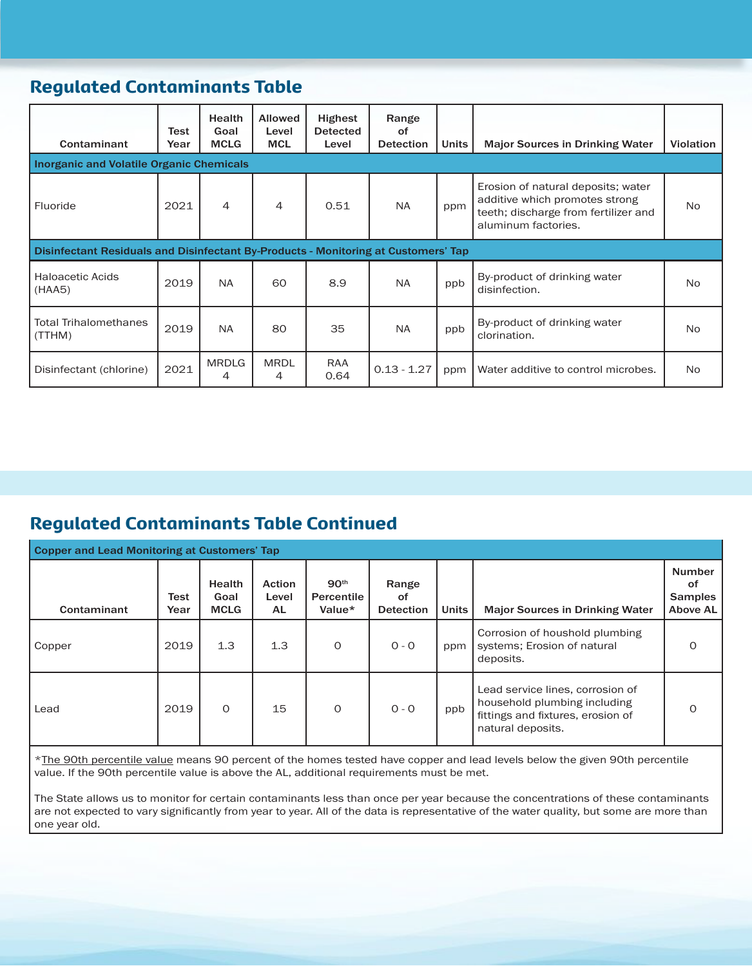## Regulated Contaminants Table

| Contaminant                                                                        | Test<br>Year | <b>Health</b><br>Goal<br><b>MCLG</b> | <b>Allowed</b><br>Level<br><b>MCL</b> | <b>Highest</b><br><b>Detected</b><br>Level | Range<br>οf<br><b>Detection</b> | <b>Units</b> | <b>Major Sources in Drinking Water</b>                                                                                              | <b>Violation</b> |  |
|------------------------------------------------------------------------------------|--------------|--------------------------------------|---------------------------------------|--------------------------------------------|---------------------------------|--------------|-------------------------------------------------------------------------------------------------------------------------------------|------------------|--|
| <b>Inorganic and Volatile Organic Chemicals</b>                                    |              |                                      |                                       |                                            |                                 |              |                                                                                                                                     |                  |  |
| Fluoride                                                                           | 2021         | 4                                    | 4                                     | 0.51                                       | NA.                             | ppm          | Erosion of natural deposits; water<br>additive which promotes strong<br>teeth; discharge from fertilizer and<br>aluminum factories. | No.              |  |
| Disinfectant Residuals and Disinfectant By-Products - Monitoring at Customers' Tap |              |                                      |                                       |                                            |                                 |              |                                                                                                                                     |                  |  |
| <b>Haloacetic Acids</b><br>(HAA5)                                                  | 2019         | <b>NA</b>                            | 60                                    | 8.9                                        | NA.                             | ppb          | By-product of drinking water<br>disinfection.                                                                                       | No.              |  |
| <b>Total Trihalomethanes</b><br>(TTHM)                                             | 2019         | <b>NA</b>                            | 80                                    | 35                                         | NA.                             | ppb          | By-product of drinking water<br>clorination.                                                                                        | N <sub>o</sub>   |  |
| Disinfectant (chlorine)                                                            | 2021         | <b>MRDLG</b><br>4                    | <b>MRDL</b><br>4                      | RAA<br>0.64                                | $0.13 - 1.27$                   | ppm          | Water additive to control microbes.                                                                                                 | No.              |  |

## Regulated Contaminants Table Continued

| <b>Copper and Lead Monitoring at Customers' Tap</b> |              |                                      |                                     |                                          |                                 |              |                                                                                                                            |                                                   |  |
|-----------------------------------------------------|--------------|--------------------------------------|-------------------------------------|------------------------------------------|---------------------------------|--------------|----------------------------------------------------------------------------------------------------------------------------|---------------------------------------------------|--|
| Contaminant                                         | Test<br>Year | <b>Health</b><br>Goal<br><b>MCLG</b> | <b>Action</b><br>Level<br><b>AL</b> | 90 <sup>th</sup><br>Percentile<br>Value* | Range<br>οf<br><b>Detection</b> | <b>Units</b> | <b>Major Sources in Drinking Water</b>                                                                                     | <b>Number</b><br>of<br><b>Samples</b><br>Above AL |  |
| Copper                                              | 2019         | 1.3                                  | 1.3                                 | $\Omega$                                 | $0 - 0$                         | ppm          | Corrosion of houshold plumbing<br>systems; Erosion of natural<br>deposits.                                                 | $\Omega$                                          |  |
| Lead                                                | 2019         | $\Omega$                             | 15                                  | $\Omega$                                 | $0 - 0$                         | ppb          | Lead service lines, corrosion of<br>household plumbing including<br>fittings and fixtures, erosion of<br>natural deposits. | $\Omega$                                          |  |

\*The 90th percentile value means 90 percent of the homes tested have copper and lead levels below the given 90th percentile value. If the 90th percentile value is above the AL, additional requirements must be met.

The State allows us to monitor for certain contaminants less than once per year because the concentrations of these contaminants are not expected to vary significantly from year to year. All of the data is representative of the water quality, but some are more than one year old.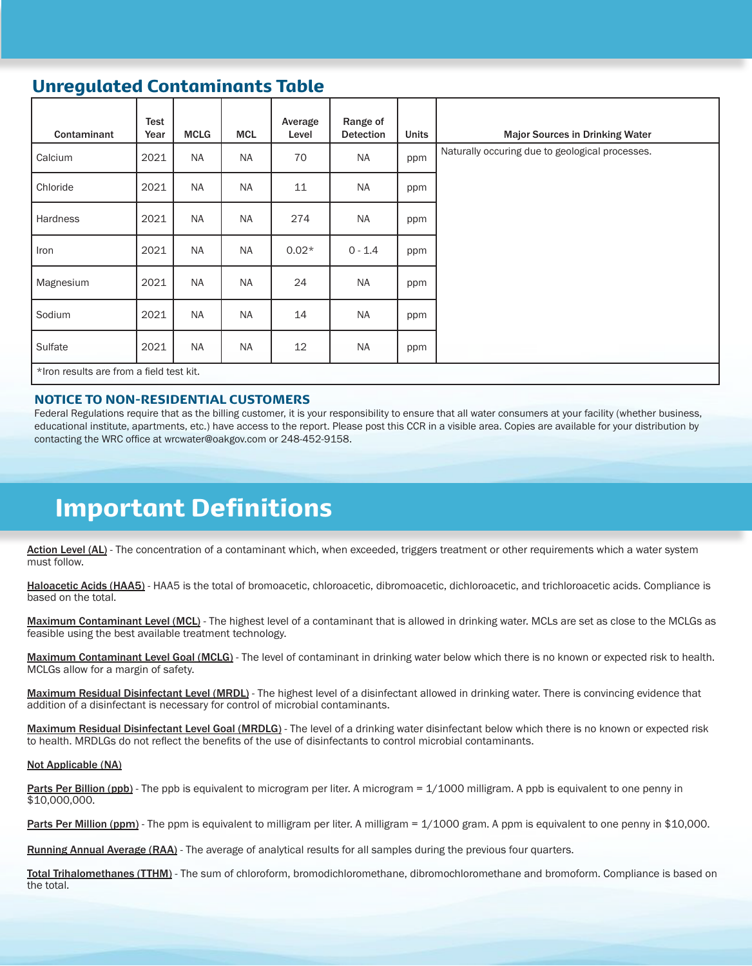## Unregulated Contaminants Table

| Contaminant                              | Test<br>Year | <b>MCLG</b> | <b>MCL</b> | Average<br>Level | Range of<br><b>Detection</b> | <b>Units</b> | <b>Major Sources in Drinking Water</b>          |
|------------------------------------------|--------------|-------------|------------|------------------|------------------------------|--------------|-------------------------------------------------|
| Calcium                                  | 2021         | <b>NA</b>   | <b>NA</b>  | 70               | <b>NA</b>                    | ppm          | Naturally occuring due to geological processes. |
| Chloride                                 | 2021         | <b>NA</b>   | <b>NA</b>  | 11               | <b>NA</b>                    | ppm          |                                                 |
| Hardness                                 | 2021         | <b>NA</b>   | <b>NA</b>  | 274              | <b>NA</b>                    | ppm          |                                                 |
| Iron                                     | 2021         | <b>NA</b>   | <b>NA</b>  | $0.02*$          | $0 - 1.4$                    | ppm          |                                                 |
| Magnesium                                | 2021         | <b>NA</b>   | <b>NA</b>  | 24               | <b>NA</b>                    | ppm          |                                                 |
| Sodium                                   | 2021         | <b>NA</b>   | <b>NA</b>  | 14               | <b>NA</b>                    | ppm          |                                                 |
| Sulfate                                  | 2021         | <b>NA</b>   | <b>NA</b>  | 12               | <b>NA</b>                    | ppm          |                                                 |
| *Iron results are from a field test kit. |              |             |            |                  |                              |              |                                                 |

#### NOTICE TO NON-RESIDENTIAL CUSTOMERS

Federal Regulations require that as the billing customer, it is your responsibility to ensure that all water consumers at your facility (whether business, educational institute, apartments, etc.) have access to the report. Please post this CCR in a visible area. Copies are available for your distribution by contacting the WRC office at wrcwater@oakgov.com or 248-452-9158.

## Important Definitions

Action Level (AL) - The concentration of a contaminant which, when exceeded, triggers treatment or other requirements which a water system must follow.

Haloacetic Acids (HAA5) - HAA5 is the total of bromoacetic, chloroacetic, dibromoacetic, dichloroacetic, and trichloroacetic acids. Compliance is based on the total.

Maximum Contaminant Level (MCL) - The highest level of a contaminant that is allowed in drinking water. MCLs are set as close to the MCLGs as feasible using the best available treatment technology.

Maximum Contaminant Level Goal (MCLG) - The level of contaminant in drinking water below which there is no known or expected risk to health. MCLGs allow for a margin of safety.

Maximum Residual Disinfectant Level (MRDL) - The highest level of a disinfectant allowed in drinking water. There is convincing evidence that addition of a disinfectant is necessary for control of microbial contaminants.

Maximum Residual Disinfectant Level Goal (MRDLG) - The level of a drinking water disinfectant below which there is no known or expected risk to health. MRDLGs do not reflect the benefits of the use of disinfectants to control microbial contaminants.

#### Not Applicable (NA)

Parts Per Billion (ppb) - The ppb is equivalent to microgram per liter. A microgram = 1/1000 milligram. A ppb is equivalent to one penny in \$10,000,000.

Parts Per Million (ppm) - The ppm is equivalent to milligram per liter. A milligram = 1/1000 gram. A ppm is equivalent to one penny in \$10,000.

Running Annual Average (RAA) - The average of analytical results for all samples during the previous four quarters.

Total Trihalomethanes (TTHM) - The sum of chloroform, bromodichloromethane, dibromochloromethane and bromoform. Compliance is based on the total.